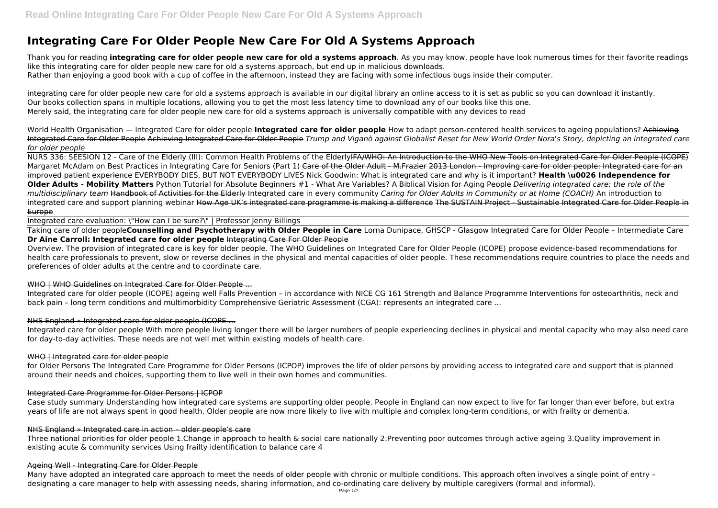# **Integrating Care For Older People New Care For Old A Systems Approach**

Thank you for reading **integrating care for older people new care for old a systems approach**. As you may know, people have look numerous times for their favorite readings like this integrating care for older people new care for old a systems approach, but end up in malicious downloads. Rather than enjoying a good book with a cup of coffee in the afternoon, instead they are facing with some infectious bugs inside their computer.

integrating care for older people new care for old a systems approach is available in our digital library an online access to it is set as public so you can download it instantly. Our books collection spans in multiple locations, allowing you to get the most less latency time to download any of our books like this one. Merely said, the integrating care for older people new care for old a systems approach is universally compatible with any devices to read

World Health Organisation — Integrated Care for older people **Integrated care for older people** How to adapt person-centered health services to ageing populations? Achieving Integrated Care for Older People Achieving Integrated Care for Older People *Trump and Viganò against Globalist Reset for New World Order Nora's Story, depicting an integrated care for older people*

NURS 336: SEESION 12 - Care of the Elderly (III): Common Health Problems of the Elderly FA/WHO: An Introduction to the WHO New Tools on Integrated Care for Older People (ICOPE) Margaret McAdam on Best Practices in Integrating Care for Seniors (Part 1) Care of the Older Adult - M.Frazier 2013 London - Improving care for older people: Integrated care for an improved patient experience EVERYBODY DIES, BUT NOT EVERYBODY LIVES Nick Goodwin: What is integrated care and why is it important? **Health \u0026 Independence for Older Adults - Mobility Matters** Python Tutorial for Absolute Beginners #1 - What Are Variables? A Biblical Vision for Aging People *Delivering integrated care: the role of the multidisciplinary team* Handbook of Activities for the Elderly Integrated care in every community *Caring for Older Adults in Community or at Home (COACH)* An introduction to integrated care and support planning webinar How Age UK's integrated care programme is making a difference The SUSTAIN Project - Sustainable Integrated Care for Older People in **Europe** 

Integrated care evaluation: \"How can I be sure?\" | Professor Jenny Billings

Many have adopted an integrated care approach to meet the needs of older people with chronic or multiple conditions. This approach often involves a single point of entry – designating a care manager to help with assessing needs, sharing information, and co-ordinating care delivery by multiple caregivers (formal and informal).

Taking care of older people**Counselling and Psychotherapy with Older People in Care** Lorna Dunipace, GHSCP - Glasgow Integrated Care for Older People – Intermediate Care **Dr Aine Carroll: Integrated care for older people** Integrating Care For Older People

Overview. The provision of integrated care is key for older people. The WHO Guidelines on Integrated Care for Older People (ICOPE) propose evidence-based recommendations for health care professionals to prevent, slow or reverse declines in the physical and mental capacities of older people. These recommendations require countries to place the needs and preferences of older adults at the centre and to coordinate care.

#### WHO | WHO Guidelines on Integrated Care for Older People ...

Integrated care for older people (ICOPE) ageing well Falls Prevention – in accordance with NICE CG 161 Strength and Balance Programme Interventions for osteoarthritis, neck and back pain – long term conditions and multimorbidity Comprehensive Geriatric Assessment (CGA): represents an integrated care ...

# NHS England » Integrated care for older people (ICOPE ...

Integrated care for older people With more people living longer there will be larger numbers of people experiencing declines in physical and mental capacity who may also need care for day-to-day activities. These needs are not well met within existing models of health care.

#### WHO | Integrated care for older people

for Older Persons The Integrated Care Programme for Older Persons (ICPOP) improves the life of older persons by providing access to integrated care and support that is planned around their needs and choices, supporting them to live well in their own homes and communities.

# Integrated Care Programme for Older Persons | ICPOP

Case study summary Understanding how integrated care systems are supporting older people. People in England can now expect to live for far longer than ever before, but extra years of life are not always spent in good health. Older people are now more likely to live with multiple and complex long-term conditions, or with frailty or dementia.

#### NHS England » Integrated care in action – older people's care

Three national priorities for older people 1.Change in approach to health & social care nationally 2.Preventing poor outcomes through active ageing 3.Quality improvement in existing acute & community services Using frailty identification to balance care 4

#### Ageing Well - Integrating Care for Older People